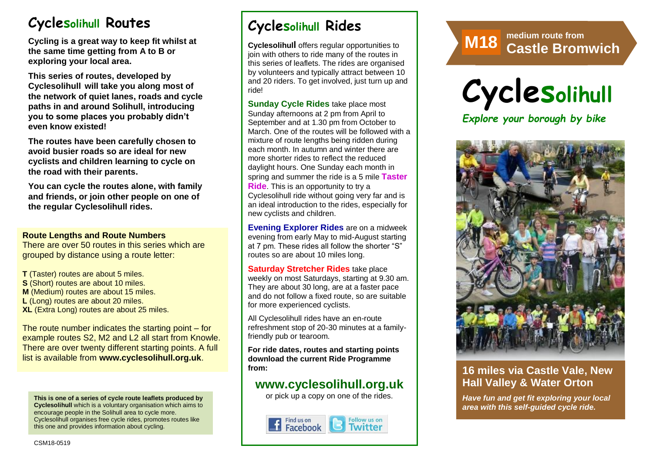# **Cyclesolihull Routes**

**Cycling is a great way to keep fit whilst at the same time getting from A to B or exploring your local area.** 

**This series of routes, developed by Cyclesolihull will take you along most of the network of quiet lanes, roads and cycle paths in and around Solihull, introducing you to some places you probably didn't even know existed!**

**The routes have been carefully chosen to avoid busier roads so are ideal for new cyclists and children learning to cycle on the road with their parents.** 

**You can cycle the routes alone, with family and friends, or join other people on one of the regular Cyclesolihull rides.**

#### **Route Lengths and Route Numbers**

There are over 50 routes in this series which are grouped by distance using a route letter:

**T** (Taster) routes are about 5 miles. **S** (Short) routes are about 10 miles. **M** (Medium) routes are about 15 miles. **L** (Long) routes are about 20 miles. **XL** (Extra Long) routes are about 25 miles.

The route number indicates the starting point – for example routes S2, M2 and L2 all start from Knowle. There are over twenty different starting points. A full list is available from **www.cyclesolihull.org.uk**.

**This is one of a series of cycle route leaflets produced by Cyclesolihull** which is a voluntary organisation which aims to encourage people in the Solihull area to cycle more. Cyclesolihull organises free cycle rides, promotes routes like this one and provides information about cycling.

# **Cyclesolihull Rides**

**Cyclesolihull** offers regular opportunities to join with others to ride many of the routes in this series of leaflets. The rides are organised by volunteers and typically attract between 10 and 20 riders. To get involved, just turn up and ride!

**Sunday Cycle Rides** take place most Sunday afternoons at 2 pm from April to September and at 1.30 pm from October to March. One of the routes will be followed with a mixture of route lengths being ridden during each month. In autumn and winter there are more shorter rides to reflect the reduced daylight hours. One Sunday each month in spring and summer the ride is a 5 mile **Taster Ride**. This is an opportunity to try a Cyclesolihull ride without going very far and is an ideal introduction to the rides, especially for new cyclists and children.

**Evening Explorer Rides** are on a midweek evening from early May to mid-August starting at 7 pm. These rides all follow the shorter "S" routes so are about 10 miles long.

**Saturday Stretcher Rides** take place weekly on most Saturdays, starting at 9.30 am. They are about 30 long, are at a faster pace and do not follow a fixed route, so are suitable for more experienced cyclists.

All Cyclesolihull rides have an en-route refreshment stop of 20-30 minutes at a familyfriendly pub or tearoom.

**For ride dates, routes and starting points download the current Ride Programme from:** 

## **www.cyclesolihull.org.uk**

or pick up a copy on one of the rides.



# **Route M8 medium route from M1 Castle Bromwich <sup>8</sup> 7**



### **16 miles via Castle Vale, New Hall Valley & Water Orton**

*Have fun and get fit exploring your local area with this self-guided cycle ride.*